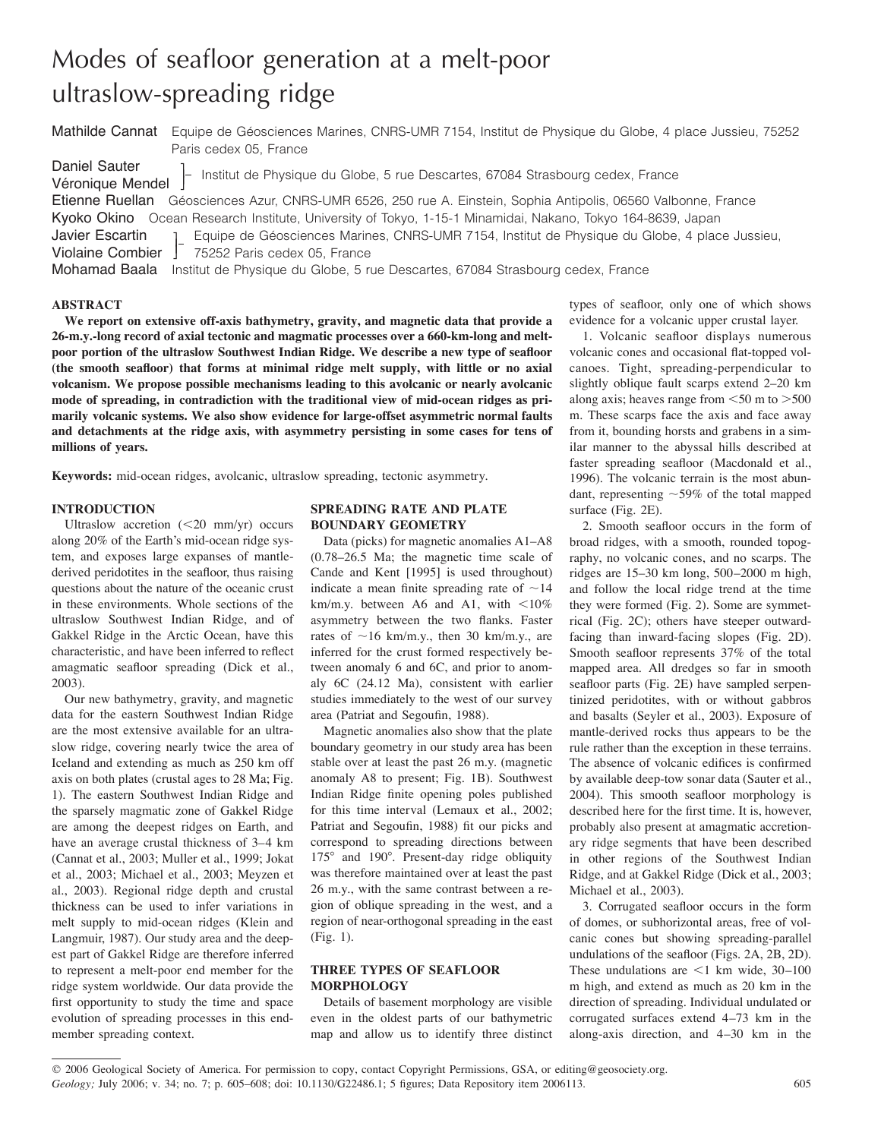# Modes of seafloor generation at a melt-poor ultraslow-spreading ridge

Mathilde Cannat Equipe de Géosciences Marines, CNRS-UMR 7154, Institut de Physique du Globe, 4 place Jussieu, 75252 Paris cedex 05, France

Daniel Sauter Véronique Mendel 1  $\overline{\phantom{a}}$ - Institut de Physique du Globe, 5 rue Descartes, 67084 Strasbourg cedex, France Etienne Ruellan Géosciences Azur, CNRS-UMR 6526, 250 rue A. Einstein, Sophia Antipolis, 06560 Valbonne, France Kyoko Okino Ocean Research Institute, University of Tokyo, 1-15-1 Minamidai, Nakano, Tokyo 164-8639, Japan Javier Escartin Violaine Combier  $\overline{\phantom{a}}$ J Equipe de Géosciences Marines, CNRS-UMR 7154, Institut de Physique du Globe, 4 place Jussieu, 75252 Paris cedex 05, France Mohamad Baala Institut de Physique du Globe, 5 rue Descartes, 67084 Strasbourg cedex, France

#### **ABSTRACT**

**We report on extensive off-axis bathymetry, gravity, and magnetic data that provide a 26-m.y.-long record of axial tectonic and magmatic processes over a 660-km-long and meltpoor portion of the ultraslow Southwest Indian Ridge. We describe a new type of seafloor (the smooth seafloor) that forms at minimal ridge melt supply, with little or no axial volcanism. We propose possible mechanisms leading to this avolcanic or nearly avolcanic mode of spreading, in contradiction with the traditional view of mid-ocean ridges as primarily volcanic systems. We also show evidence for large-offset asymmetric normal faults and detachments at the ridge axis, with asymmetry persisting in some cases for tens of millions of years.**

**Keywords:** mid-ocean ridges, avolcanic, ultraslow spreading, tectonic asymmetry.

## **INTRODUCTION**

Ultraslow accretion  $(<20$  mm/yr) occurs along 20% of the Earth's mid-ocean ridge system, and exposes large expanses of mantlederived peridotites in the seafloor, thus raising questions about the nature of the oceanic crust in these environments. Whole sections of the ultraslow Southwest Indian Ridge, and of Gakkel Ridge in the Arctic Ocean, have this characteristic, and have been inferred to reflect amagmatic seafloor spreading (Dick et al., 2003).

Our new bathymetry, gravity, and magnetic data for the eastern Southwest Indian Ridge are the most extensive available for an ultraslow ridge, covering nearly twice the area of Iceland and extending as much as 250 km off axis on both plates (crustal ages to 28 Ma; Fig. 1). The eastern Southwest Indian Ridge and the sparsely magmatic zone of Gakkel Ridge are among the deepest ridges on Earth, and have an average crustal thickness of 3–4 km (Cannat et al., 2003; Muller et al., 1999; Jokat et al., 2003; Michael et al., 2003; Meyzen et al., 2003). Regional ridge depth and crustal thickness can be used to infer variations in melt supply to mid-ocean ridges (Klein and Langmuir, 1987). Our study area and the deepest part of Gakkel Ridge are therefore inferred to represent a melt-poor end member for the ridge system worldwide. Our data provide the first opportunity to study the time and space evolution of spreading processes in this endmember spreading context.

## **SPREADING RATE AND PLATE BOUNDARY GEOMETRY**

Data (picks) for magnetic anomalies A1–A8 (0.78–26.5 Ma; the magnetic time scale of Cande and Kent [1995] is used throughout) indicate a mean finite spreading rate of  $\sim$ 14 km/m.y. between A6 and A1, with  $\lt 10\%$ asymmetry between the two flanks. Faster rates of  $\sim$ 16 km/m.y., then 30 km/m.y., are inferred for the crust formed respectively between anomaly 6 and 6C, and prior to anomaly 6C (24.12 Ma), consistent with earlier studies immediately to the west of our survey area (Patriat and Segoufin, 1988).

Magnetic anomalies also show that the plate boundary geometry in our study area has been stable over at least the past 26 m.y. (magnetic anomaly A8 to present; Fig. 1B). Southwest Indian Ridge finite opening poles published for this time interval (Lemaux et al., 2002; Patriat and Segoufin, 1988) fit our picks and correspond to spreading directions between  $175^{\circ}$  and  $190^{\circ}$ . Present-day ridge obliquity was therefore maintained over at least the past 26 m.y., with the same contrast between a region of oblique spreading in the west, and a region of near-orthogonal spreading in the east (Fig. 1).

## **THREE TYPES OF SEAFLOOR MORPHOLOGY**

Details of basement morphology are visible even in the oldest parts of our bathymetric map and allow us to identify three distinct

types of seafloor, only one of which shows evidence for a volcanic upper crustal layer.

1. Volcanic seafloor displays numerous volcanic cones and occasional flat-topped volcanoes. Tight, spreading-perpendicular to slightly oblique fault scarps extend 2–20 km along axis; heaves range from  $\leq 50$  m to  $> 500$ m. These scarps face the axis and face away from it, bounding horsts and grabens in a similar manner to the abyssal hills described at faster spreading seafloor (Macdonald et al., 1996). The volcanic terrain is the most abundant, representing  $\sim$  59% of the total mapped surface (Fig. 2E).

2. Smooth seafloor occurs in the form of broad ridges, with a smooth, rounded topography, no volcanic cones, and no scarps. The ridges are 15–30 km long, 500–2000 m high, and follow the local ridge trend at the time they were formed (Fig. 2). Some are symmetrical (Fig. 2C); others have steeper outwardfacing than inward-facing slopes (Fig. 2D). Smooth seafloor represents 37% of the total mapped area. All dredges so far in smooth seafloor parts (Fig. 2E) have sampled serpentinized peridotites, with or without gabbros and basalts (Seyler et al., 2003). Exposure of mantle-derived rocks thus appears to be the rule rather than the exception in these terrains. The absence of volcanic edifices is confirmed by available deep-tow sonar data (Sauter et al., 2004). This smooth seafloor morphology is described here for the first time. It is, however, probably also present at amagmatic accretionary ridge segments that have been described in other regions of the Southwest Indian Ridge, and at Gakkel Ridge (Dick et al., 2003; Michael et al., 2003).

3. Corrugated seafloor occurs in the form of domes, or subhorizontal areas, free of volcanic cones but showing spreading-parallel undulations of the seafloor (Figs. 2A, 2B, 2D). These undulations are  $\leq 1$  km wide, 30–100 m high, and extend as much as 20 km in the direction of spreading. Individual undulated or corrugated surfaces extend 4–73 km in the along-axis direction, and 4–30 km in the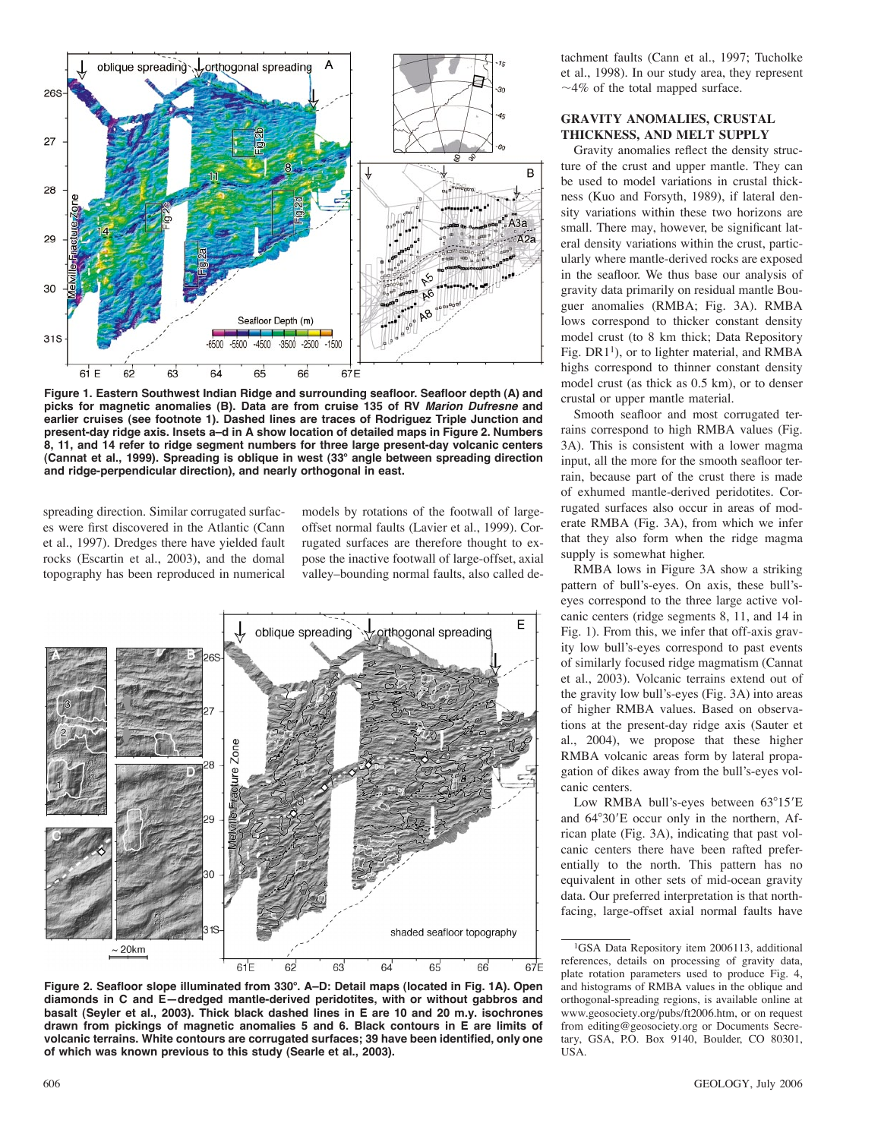

**Figure 1. Eastern Southwest Indian Ridge and surrounding seafloor. Seafloor depth (A) and picks for magnetic anomalies (B). Data are from cruise 135 of RV Marion Dufresne and earlier cruises (see footnote 1). Dashed lines are traces of Rodriguez Triple Junction and present-day ridge axis. Insets a–d in A show location of detailed maps in Figure 2. Numbers 8, 11, and 14 refer to ridge segment numbers for three large present-day volcanic centers (Cannat et al., 1999). Spreading is oblique in west (33**! **angle between spreading direction and ridge-perpendicular direction), and nearly orthogonal in east.**

spreading direction. Similar corrugated surfaces were first discovered in the Atlantic (Cann et al., 1997). Dredges there have yielded fault rocks (Escartin et al., 2003), and the domal topography has been reproduced in numerical

models by rotations of the footwall of largeoffset normal faults (Lavier et al., 1999). Corrugated surfaces are therefore thought to expose the inactive footwall of large-offset, axial valley–bounding normal faults, also called de-



**Figure 2. Seafloor slope illuminated from 330**!**. A–D: Detail maps (located in Fig. 1A). Open diamonds in C and E—dredged mantle-derived peridotites, with or without gabbros and basalt (Seyler et al., 2003). Thick black dashed lines in E are 10 and 20 m.y. isochrones drawn from pickings of magnetic anomalies 5 and 6. Black contours in E are limits of volcanic terrains. White contours are corrugated surfaces; 39 have been identified, only one of which was known previous to this study (Searle et al., 2003).**

tachment faults (Cann et al., 1997; Tucholke et al., 1998). In our study area, they represent  $~\sim$ 4% of the total mapped surface.

# **GRAVITY ANOMALIES, CRUSTAL THICKNESS, AND MELT SUPPLY**

Gravity anomalies reflect the density structure of the crust and upper mantle. They can be used to model variations in crustal thickness (Kuo and Forsyth, 1989), if lateral density variations within these two horizons are small. There may, however, be significant lateral density variations within the crust, particularly where mantle-derived rocks are exposed in the seafloor. We thus base our analysis of gravity data primarily on residual mantle Bouguer anomalies (RMBA; Fig. 3A). RMBA lows correspond to thicker constant density model crust (to 8 km thick; Data Repository Fig. DR1<sup>1</sup>), or to lighter material, and RMBA highs correspond to thinner constant density model crust (as thick as 0.5 km), or to denser crustal or upper mantle material.

Smooth seafloor and most corrugated terrains correspond to high RMBA values (Fig. 3A). This is consistent with a lower magma input, all the more for the smooth seafloor terrain, because part of the crust there is made of exhumed mantle-derived peridotites. Corrugated surfaces also occur in areas of moderate RMBA (Fig. 3A), from which we infer that they also form when the ridge magma supply is somewhat higher.

RMBA lows in Figure 3A show a striking pattern of bull's-eyes. On axis, these bull'seyes correspond to the three large active volcanic centers (ridge segments 8, 11, and 14 in Fig. 1). From this, we infer that off-axis gravity low bull's-eyes correspond to past events of similarly focused ridge magmatism (Cannat et al., 2003). Volcanic terrains extend out of the gravity low bull's-eyes (Fig. 3A) into areas of higher RMBA values. Based on observations at the present-day ridge axis (Sauter et al., 2004), we propose that these higher RMBA volcanic areas form by lateral propagation of dikes away from the bull's-eyes volcanic centers.

Low RMBA bull's-eyes between 63°15'E and  $64^{\circ}30'E$  occur only in the northern, African plate (Fig. 3A), indicating that past volcanic centers there have been rafted preferentially to the north. This pattern has no equivalent in other sets of mid-ocean gravity data. Our preferred interpretation is that northfacing, large-offset axial normal faults have

<sup>&</sup>lt;sup>1</sup>GSA Data Repository item 2006113, additional references, details on processing of gravity data, plate rotation parameters used to produce Fig. 4, and histograms of RMBA values in the oblique and orthogonal-spreading regions, is available online at www.geosociety.org/pubs/ft2006.htm, or on request from editing@geosociety.org or Documents Secretary, GSA, P.O. Box 9140, Boulder, CO 80301, USA.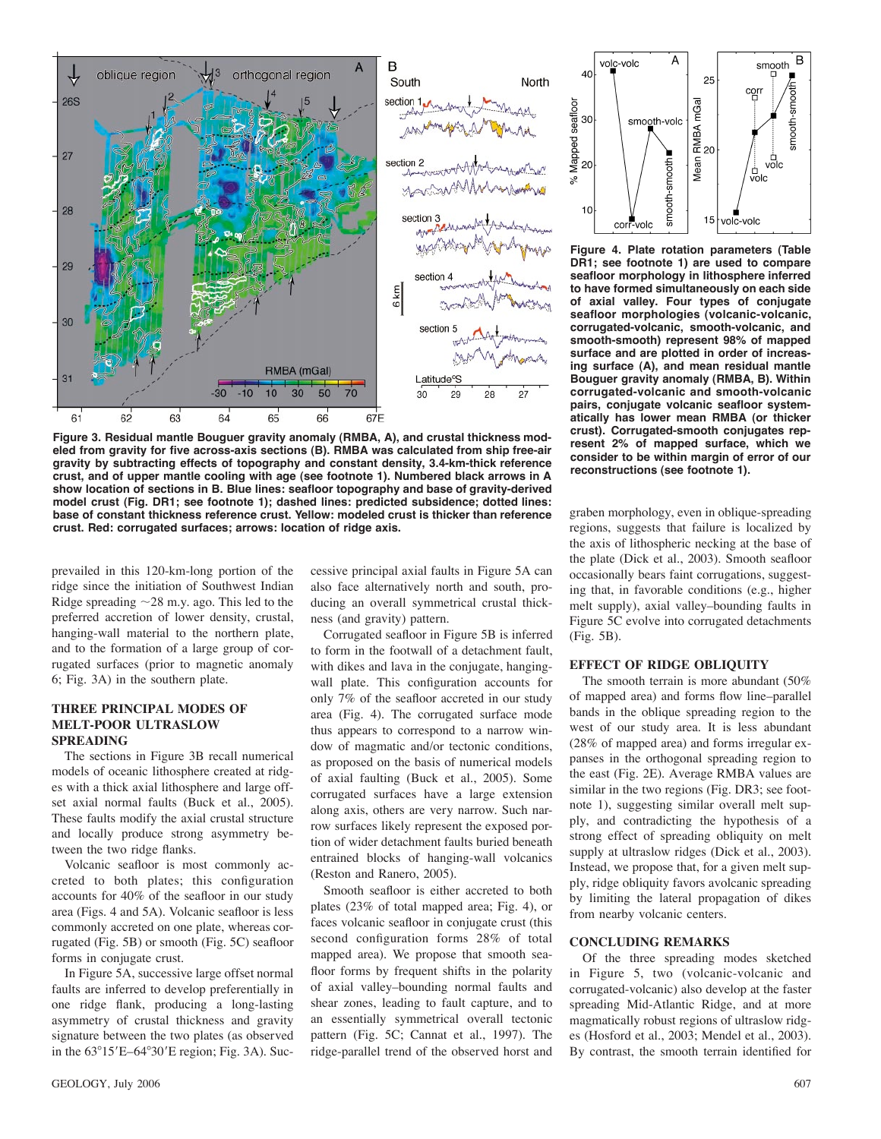

**Figure 3. Residual mantle Bouguer gravity anomaly (RMBA, A), and crustal thickness modeled from gravity for five across-axis sections (B). RMBA was calculated from ship free-air gravity by subtracting effects of topography and constant density, 3.4-km-thick reference crust, and of upper mantle cooling with age (see footnote 1). Numbered black arrows in A show location of sections in B. Blue lines: seafloor topography and base of gravity-derived model crust (Fig. DR1; see footnote 1); dashed lines: predicted subsidence; dotted lines: base of constant thickness reference crust. Yellow: modeled crust is thicker than reference crust. Red: corrugated surfaces; arrows: location of ridge axis.**

prevailed in this 120-km-long portion of the ridge since the initiation of Southwest Indian Ridge spreading  $\sim$  28 m.y. ago. This led to the preferred accretion of lower density, crustal, hanging-wall material to the northern plate, and to the formation of a large group of corrugated surfaces (prior to magnetic anomaly 6; Fig. 3A) in the southern plate.

#### **THREE PRINCIPAL MODES OF MELT-POOR ULTRASLOW SPREADING**

The sections in Figure 3B recall numerical models of oceanic lithosphere created at ridges with a thick axial lithosphere and large offset axial normal faults (Buck et al., 2005). These faults modify the axial crustal structure and locally produce strong asymmetry between the two ridge flanks.

Volcanic seafloor is most commonly accreted to both plates; this configuration accounts for 40% of the seafloor in our study area (Figs. 4 and 5A). Volcanic seafloor is less commonly accreted on one plate, whereas corrugated (Fig. 5B) or smooth (Fig. 5C) seafloor forms in conjugate crust.

In Figure 5A, successive large offset normal faults are inferred to develop preferentially in one ridge flank, producing a long-lasting asymmetry of crustal thickness and gravity signature between the two plates (as observed in the  $63^{\circ}15'E-64^{\circ}30'E$  region; Fig. 3A). Successive principal axial faults in Figure 5A can also face alternatively north and south, producing an overall symmetrical crustal thickness (and gravity) pattern.

Corrugated seafloor in Figure 5B is inferred to form in the footwall of a detachment fault, with dikes and lava in the conjugate, hangingwall plate. This configuration accounts for only 7% of the seafloor accreted in our study area (Fig. 4). The corrugated surface mode thus appears to correspond to a narrow window of magmatic and/or tectonic conditions, as proposed on the basis of numerical models of axial faulting (Buck et al., 2005). Some corrugated surfaces have a large extension along axis, others are very narrow. Such narrow surfaces likely represent the exposed portion of wider detachment faults buried beneath entrained blocks of hanging-wall volcanics (Reston and Ranero, 2005).

Smooth seafloor is either accreted to both plates (23% of total mapped area; Fig. 4), or faces volcanic seafloor in conjugate crust (this second configuration forms 28% of total mapped area). We propose that smooth seafloor forms by frequent shifts in the polarity of axial valley–bounding normal faults and shear zones, leading to fault capture, and to an essentially symmetrical overall tectonic pattern (Fig. 5C; Cannat et al., 1997). The ridge-parallel trend of the observed horst and



**Figure 4. Plate rotation parameters (Table DR1; see footnote 1) are used to compare seafloor morphology in lithosphere inferred to have formed simultaneously on each side of axial valley. Four types of conjugate seafloor morphologies (volcanic-volcanic, corrugated-volcanic, smooth-volcanic, and smooth-smooth) represent 98% of mapped surface and are plotted in order of increasing surface (A), and mean residual mantle Bouguer gravity anomaly (RMBA, B). Within corrugated-volcanic and smooth-volcanic pairs, conjugate volcanic seafloor systematically has lower mean RMBA (or thicker crust). Corrugated-smooth conjugates represent 2% of mapped surface, which we consider to be within margin of error of our reconstructions (see footnote 1).**

graben morphology, even in oblique-spreading regions, suggests that failure is localized by the axis of lithospheric necking at the base of the plate (Dick et al., 2003). Smooth seafloor occasionally bears faint corrugations, suggesting that, in favorable conditions (e.g., higher melt supply), axial valley–bounding faults in Figure 5C evolve into corrugated detachments (Fig. 5B).

## **EFFECT OF RIDGE OBLIQUITY**

The smooth terrain is more abundant (50% of mapped area) and forms flow line–parallel bands in the oblique spreading region to the west of our study area. It is less abundant (28% of mapped area) and forms irregular expanses in the orthogonal spreading region to the east (Fig. 2E). Average RMBA values are similar in the two regions (Fig. DR3; see footnote 1), suggesting similar overall melt supply, and contradicting the hypothesis of a strong effect of spreading obliquity on melt supply at ultraslow ridges (Dick et al., 2003). Instead, we propose that, for a given melt supply, ridge obliquity favors avolcanic spreading by limiting the lateral propagation of dikes from nearby volcanic centers.

#### **CONCLUDING REMARKS**

Of the three spreading modes sketched in Figure 5, two (volcanic-volcanic and corrugated-volcanic) also develop at the faster spreading Mid-Atlantic Ridge, and at more magmatically robust regions of ultraslow ridges (Hosford et al., 2003; Mendel et al., 2003). By contrast, the smooth terrain identified for